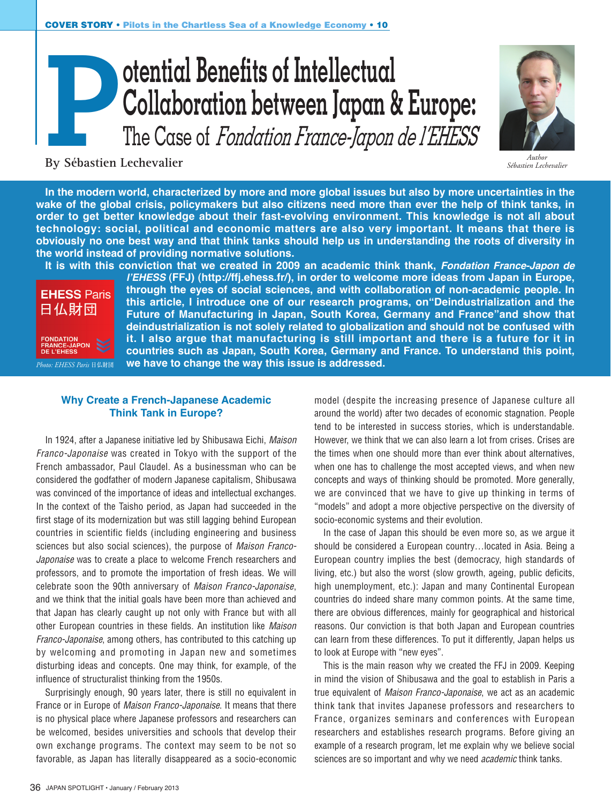# **otential Benefits of Intellectual Collaboration between Japan & Europe:**<br>The Case of *Fondation France-Japon de l'EHESS*



*Sébastien Lechevalier*

**By Sébastien Lechevalier**

**In the modern world, characterized by more and more global issues but also by more uncertainties in the wake of the global crisis, policymakers but also citizens need more than ever the help of think tanks, in order to get better knowledge about their fast-evolving environment. This knowledge is not all about technology: social, political and economic matters are also very important. It means that there is obviously no one best way and that think tanks should help us in understanding the roots of diversity in the world instead of providing normative solutions.**

**EHESS Paris** 日仏財団 FRANCE-JAPON<br>DE L'EHESS *Photo: EHESS Paris* 日仏財団

**It is with this conviction that we created in 2009 an academic think thank,** *Fondation France-Japon de l'EHESS* **(FFJ) (http://ffj.ehess.fr/), in order to welcome more ideas from Japan in Europe, through the eyes of social sciences, and with collaboration of non-academic people. In this article, I introduce one of our research programs, on"Deindustrialization and the Future of Manufacturing in Japan, South Korea, Germany and France"and show that deindustrialization is not solely related to globalization and should not be confused with it. I also argue that manufacturing is still important and there is a future for it in countries such as Japan, South Korea, Germany and France. To understand this point, we have to change the way this issue is addressed.**

## **Why Create a French-Japanese Academic Think Tank in Europe?**

In 1924, after a Japanese initiative led by Shibusawa Eichi, *Maison Franco-Japonaise* was created in Tokyo with the support of the French ambassador, Paul Claudel. As a businessman who can be considered the godfather of modern Japanese capitalism, Shibusawa was convinced of the importance of ideas and intellectual exchanges. In the context of the Taisho period, as Japan had succeeded in the first stage of its modernization but was still lagging behind European countries in scientific fields (including engineering and business sciences but also social sciences), the purpose of *Maison Franco-Japonaise* was to create a place to welcome French researchers and professors, and to promote the importation of fresh ideas. We will celebrate soon the 90th anniversary of *Maison Franco-Japonaise*, and we think that the initial goals have been more than achieved and that Japan has clearly caught up not only with France but with all other European countries in these fields. An institution like *Maison Franco-Japonaise*, among others, has contributed to this catching up by welcoming and promoting in Japan new and sometimes disturbing ideas and concepts. One may think, for example, of the influence of structuralist thinking from the 1950s.

Surprisingly enough, 90 years later, there is still no equivalent in France or in Europe of *Maison Franco-Japonaise*. It means that there is no physical place where Japanese professors and researchers can be welcomed, besides universities and schools that develop their own exchange programs. The context may seem to be not so favorable, as Japan has literally disappeared as a socio-economic

model (despite the increasing presence of Japanese culture all around the world) after two decades of economic stagnation. People tend to be interested in success stories, which is understandable. However, we think that we can also learn a lot from crises. Crises are the times when one should more than ever think about alternatives, when one has to challenge the most accepted views, and when new concepts and ways of thinking should be promoted. More generally, we are convinced that we have to give up thinking in terms of "models" and adopt a more objective perspective on the diversity of socio-economic systems and their evolution.

In the case of Japan this should be even more so, as we argue it should be considered a European country…located in Asia. Being a European country implies the best (democracy, high standards of living, etc.) but also the worst (slow growth, ageing, public deficits, high unemployment, etc.): Japan and many Continental European countries do indeed share many common points. At the same time, there are obvious differences, mainly for geographical and historical reasons. Our conviction is that both Japan and European countries can learn from these differences. To put it differently, Japan helps us to look at Europe with "new eyes".

This is the main reason why we created the FFJ in 2009. Keeping in mind the vision of Shibusawa and the goal to establish in Paris a true equivalent of *Maison Franco-Japonaise*, we act as an academic think tank that invites Japanese professors and researchers to France, organizes seminars and conferences with European researchers and establishes research programs. Before giving an example of a research program, let me explain why we believe social sciences are so important and why we need *academic* think tanks.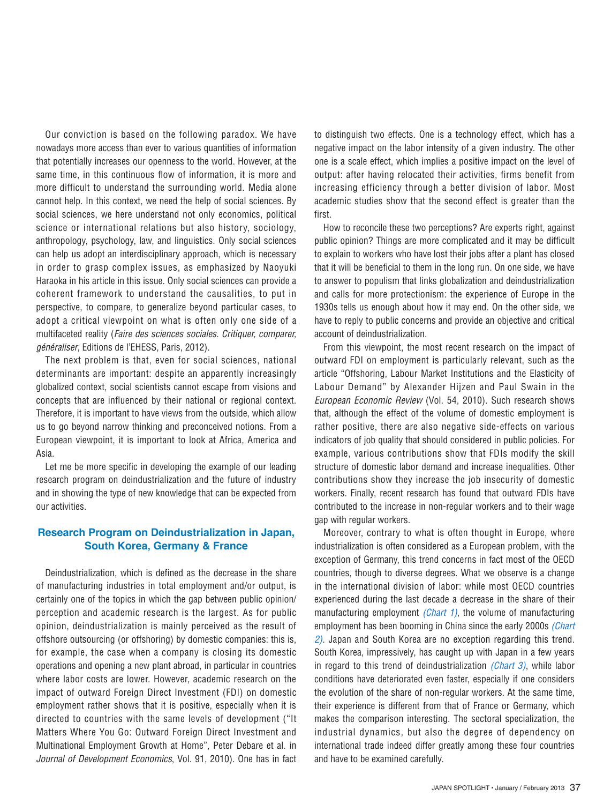Our conviction is based on the following paradox. We have nowadays more access than ever to various quantities of information that potentially increases our openness to the world. However, at the same time, in this continuous flow of information, it is more and more difficult to understand the surrounding world. Media alone cannot help. In this context, we need the help of social sciences. By social sciences, we here understand not only economics, political science or international relations but also history, sociology, anthropology, psychology, law, and linguistics. Only social sciences can help us adopt an interdisciplinary approach, which is necessary in order to grasp complex issues, as emphasized by Naoyuki Haraoka in his article in this issue. Only social sciences can provide a coherent framework to understand the causalities, to put in perspective, to compare, to generalize beyond particular cases, to adopt a critical viewpoint on what is often only one side of a multifaceted reality (*Faire des sciences sociales. Critiquer, comparer, généraliser*, Editions de l'EHESS, Paris, 2012).

The next problem is that, even for social sciences, national determinants are important: despite an apparently increasingly globalized context, social scientists cannot escape from visions and concepts that are influenced by their national or regional context. Therefore, it is important to have views from the outside, which allow us to go beyond narrow thinking and preconceived notions. From a European viewpoint, it is important to look at Africa, America and Asia.

Let me be more specific in developing the example of our leading research program on deindustrialization and the future of industry and in showing the type of new knowledge that can be expected from our activities.

### **Research Program on Deindustrialization in Japan, South Korea, Germany & France**

Deindustrialization, which is defined as the decrease in the share of manufacturing industries in total employment and/or output, is certainly one of the topics in which the gap between public opinion/ perception and academic research is the largest. As for public opinion, deindustrialization is mainly perceived as the result of offshore outsourcing (or offshoring) by domestic companies: this is, for example, the case when a company is closing its domestic operations and opening a new plant abroad, in particular in countries where labor costs are lower. However, academic research on the impact of outward Foreign Direct Investment (FDI) on domestic employment rather shows that it is positive, especially when it is directed to countries with the same levels of development ("It Matters Where You Go: Outward Foreign Direct Investment and Multinational Employment Growth at Home", Peter Debare et al. in *Journal of Development Economics*, Vol. 91, 2010). One has in fact to distinguish two effects. One is a technology effect, which has a negative impact on the labor intensity of a given industry. The other one is a scale effect, which implies a positive impact on the level of output: after having relocated their activities, firms benefit from increasing efficiency through a better division of labor. Most academic studies show that the second effect is greater than the first.

How to reconcile these two perceptions? Are experts right, against public opinion? Things are more complicated and it may be difficult to explain to workers who have lost their jobs after a plant has closed that it will be beneficial to them in the long run. On one side, we have to answer to populism that links globalization and deindustrialization and calls for more protectionism: the experience of Europe in the 1930s tells us enough about how it may end. On the other side, we have to reply to public concerns and provide an objective and critical account of deindustrialization.

From this viewpoint, the most recent research on the impact of outward FDI on employment is particularly relevant, such as the article "Offshoring, Labour Market Institutions and the Elasticity of Labour Demand" by Alexander Hijzen and Paul Swain in the *European Economic Review* (Vol. 54, 2010). Such research shows that, although the effect of the volume of domestic employment is rather positive, there are also negative side-effects on various indicators of job quality that should considered in public policies. For example, various contributions show that FDIs modify the skill structure of domestic labor demand and increase inequalities. Other contributions show they increase the job insecurity of domestic workers. Finally, recent research has found that outward FDIs have contributed to the increase in non-regular workers and to their wage gap with regular workers.

Moreover, contrary to what is often thought in Europe, where industrialization is often considered as a European problem, with the exception of Germany, this trend concerns in fact most of the OECD countries, though to diverse degrees. What we observe is a change in the international division of labor: while most OECD countries experienced during the last decade a decrease in the share of their manufacturing employment *(Chart 1)*, the volume of manufacturing employment has been booming in China since the early 2000s *(Chart 2)*. Japan and South Korea are no exception regarding this trend. South Korea, impressively, has caught up with Japan in a few years in regard to this trend of deindustrialization *(Chart 3)*, while labor conditions have deteriorated even faster, especially if one considers the evolution of the share of non-regular workers. At the same time, their experience is different from that of France or Germany, which makes the comparison interesting. The sectoral specialization, the industrial dynamics, but also the degree of dependency on international trade indeed differ greatly among these four countries and have to be examined carefully.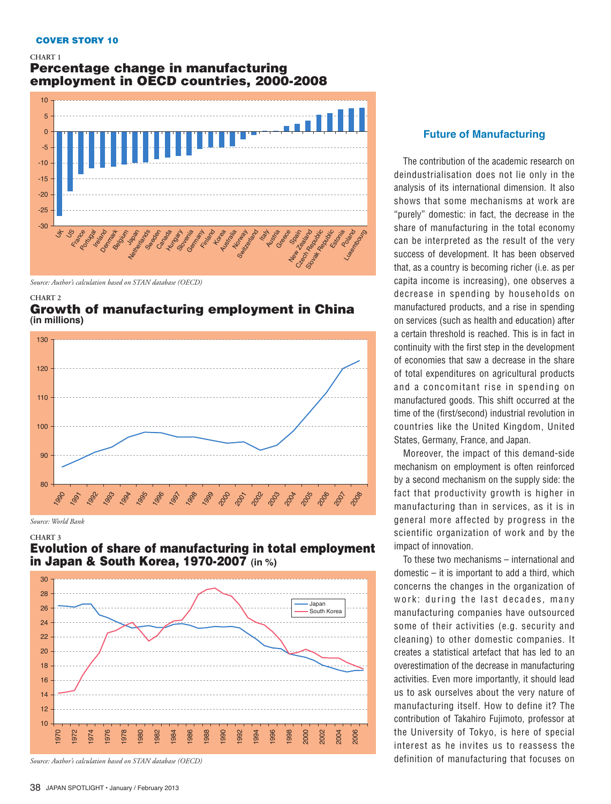#### COVER STORY 10

#### **CHART 1** Percentage change in manufacturing employment in OECD countries, 2000-2008



*Source: Author's calculation based on STAN database (OECD)*

#### **CHART 2** Growth of manufacturing employment in China **(in millions)**



*Source: World Bank*

#### **CHART 3** Evolution of share of manufacturing in total employment in Japan & South Korea, 1970-2007 **(in %)**



*Source: Author's calculation based on STAN database (OECD)*

### **Future of Manufacturing**

The contribution of the academic research on deindustrialisation does not lie only in the analysis of its international dimension. It also shows that some mechanisms at work are "purely" domestic: in fact, the decrease in the share of manufacturing in the total economy can be interpreted as the result of the very success of development. It has been observed that, as a country is becoming richer (i.e. as per capita income is increasing), one observes a decrease in spending by households on manufactured products, and a rise in spending on services (such as health and education) after a certain threshold is reached. This is in fact in continuity with the first step in the development of economies that saw a decrease in the share of total expenditures on agricultural products and a concomitant rise in spending on manufactured goods. This shift occurred at the time of the (first/second) industrial revolution in countries like the United Kingdom, United States, Germany, France, and Japan.

Moreover, the impact of this demand-side mechanism on employment is often reinforced by a second mechanism on the supply side: the fact that productivity growth is higher in manufacturing than in services, as it is in general more affected by progress in the scientific organization of work and by the impact of innovation.

To these two mechanisms – international and domestic – it is important to add a third, which concerns the changes in the organization of work: during the last decades, many manufacturing companies have outsourced some of their activities (e.g. security and cleaning) to other domestic companies. It creates a statistical artefact that has led to an overestimation of the decrease in manufacturing activities. Even more importantly, it should lead us to ask ourselves about the very nature of manufacturing itself. How to define it? The contribution of Takahiro Fujimoto, professor at the University of Tokyo, is here of special interest as he invites us to reassess the definition of manufacturing that focuses on